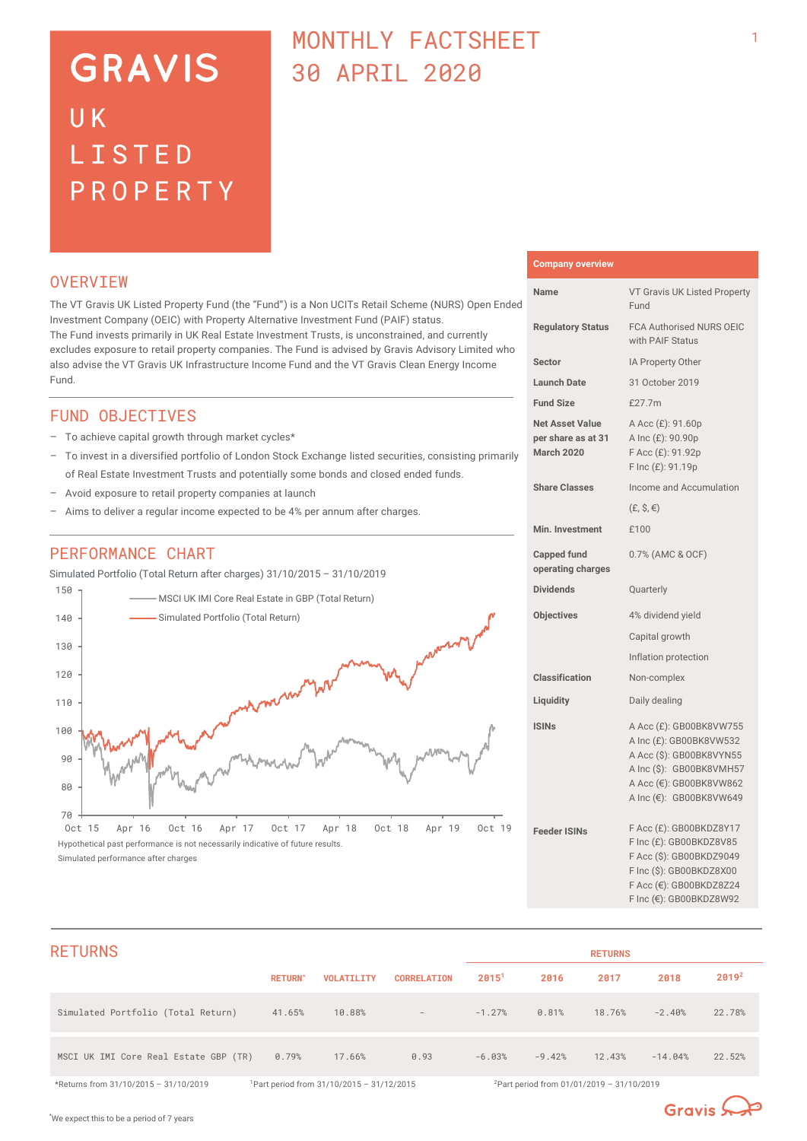# **GRAVIS** UK LISTED PROPERTY

# MONTHLY FACTSHEET 30 APRIL 2020

# **OVERVTEW**

The VT Gravis UK Listed Property Fund (the "Fund") is a Non UCITs Retail Scheme (NURS) Open Ended Investment Company (OEIC) with Property Alternative Investment Fund (PAIF) status. The Fund invests primarily in UK Real Estate Investment Trusts, is unconstrained, and currently excludes exposure to retail property companies. The Fund is advised by Gravis Advisory Limited who also advise the VT Gravis UK Infrastructure Income Fund and the VT Gravis Clean Energy Income Fund.

# FUND OBJECTIVES

- To achieve capital growth through market cycles\*
- To invest in a diversified portfolio of London Stock Exchange listed securities, consisting primarily of Real Estate Investment Trusts and potentially some bonds and closed ended funds.
- Avoid exposure to retail property companies at launch
- Aims to deliver a regular income expected to be 4% per annum after charges.

# PERFORMANCE CHART

Simulated Portfolio (Total Return after charges) 31/10/2015 – 31/10/2019



Oct 15 Apr 16 Oct 16 Apr 17 Oct 17 Apr 18 Oct 18 Apr 19 Oct 19 Hypothetical past performance is not necessarily indicative of future results. Simulated performance after charges

# **Company overview Name** VT Gravis UK Listed Property Fund

1

| <b>Regulatory Status</b>                                          | FCA Authorised NURS OEIC<br>with PAIF Status                                                                                                                     |
|-------------------------------------------------------------------|------------------------------------------------------------------------------------------------------------------------------------------------------------------|
| Sector                                                            | IA Property Other                                                                                                                                                |
| <b>Launch Date</b>                                                | 31 October 2019                                                                                                                                                  |
| <b>Fund Size</b>                                                  | £27.7m                                                                                                                                                           |
| <b>Net Asset Value</b><br>per share as at 31<br><b>March 2020</b> | A Acc (£): 91.60p<br>A Inc (£): 90.90p<br>F Acc (£): 91.92p<br>F Inc (£): 91.19p                                                                                 |
| <b>Share Classes</b>                                              | Income and Accumulation                                                                                                                                          |
|                                                                   | $(E, \hat{S}, \epsilon)$                                                                                                                                         |
| Min. Investment                                                   | £100                                                                                                                                                             |
| <b>Capped fund</b><br>operating charges                           | 0.7% (AMC & OCF)                                                                                                                                                 |
| <b>Dividends</b>                                                  | Quarterly                                                                                                                                                        |
| <b>Objectives</b>                                                 | 4% dividend yield                                                                                                                                                |
|                                                                   | Capital growth                                                                                                                                                   |
|                                                                   | Inflation protection                                                                                                                                             |
| <b>Classification</b>                                             | Non-complex                                                                                                                                                      |
| Liquidity                                                         | Daily dealing                                                                                                                                                    |
| <b>ISINs</b>                                                      | A Acc (£): GB00BK8VW755<br>A Inc (£): GB00BK8VW532<br>A Acc (\$): GB00BK8VYN55<br>A Inc (\$): GB00BK8VMH57<br>A Acc (€): GB00BK8VW862<br>A Inc (€): GB00BK8VW649 |
| <b>Feeder ISINs</b>                                               | F Acc (£): GB00BKDZ8Y17<br>F Inc (£): GB00BKDZ8V85<br>F Acc (\$): GB00BKDZ9049<br>F Inc (\$): GB00BKDZ8X00<br>F Acc (€): GB00BKDZ8Z24<br>F Inc (€): GB00BKDZ8W92 |

| <b>RETURNS</b>                        |                |                                            |                          |                   |                                                       | <b>RETURNS</b> |           |                   |
|---------------------------------------|----------------|--------------------------------------------|--------------------------|-------------------|-------------------------------------------------------|----------------|-----------|-------------------|
|                                       | <b>RETURN*</b> | <b>VOLATILITY</b>                          | <b>CORRELATION</b>       | 2015 <sup>1</sup> | 2016                                                  | 2017           | 2018      | 2019 <sup>2</sup> |
| Simulated Portfolio (Total Return)    | 41.65%         | 10.88%                                     | $\overline{\phantom{a}}$ | $-1.27%$          | 0.81%                                                 | 18.76%         | $-2.40%$  | 22.78%            |
| MSCI UK IMI Core Real Estate GBP (TR) | 0.79%          | 17.66%                                     | 0.93                     | $-6.03%$          | $-9.42%$                                              | 12.43%         | $-14.04%$ | 22.52%            |
| *Returns from 31/10/2015 - 31/10/2019 |                | Part period from $31/10/2015 - 31/12/2015$ |                          |                   | <sup>2</sup> Part period from 01/01/2019 - 31/10/2019 |                |           |                   |

Gravis  $\mathbb{Q}$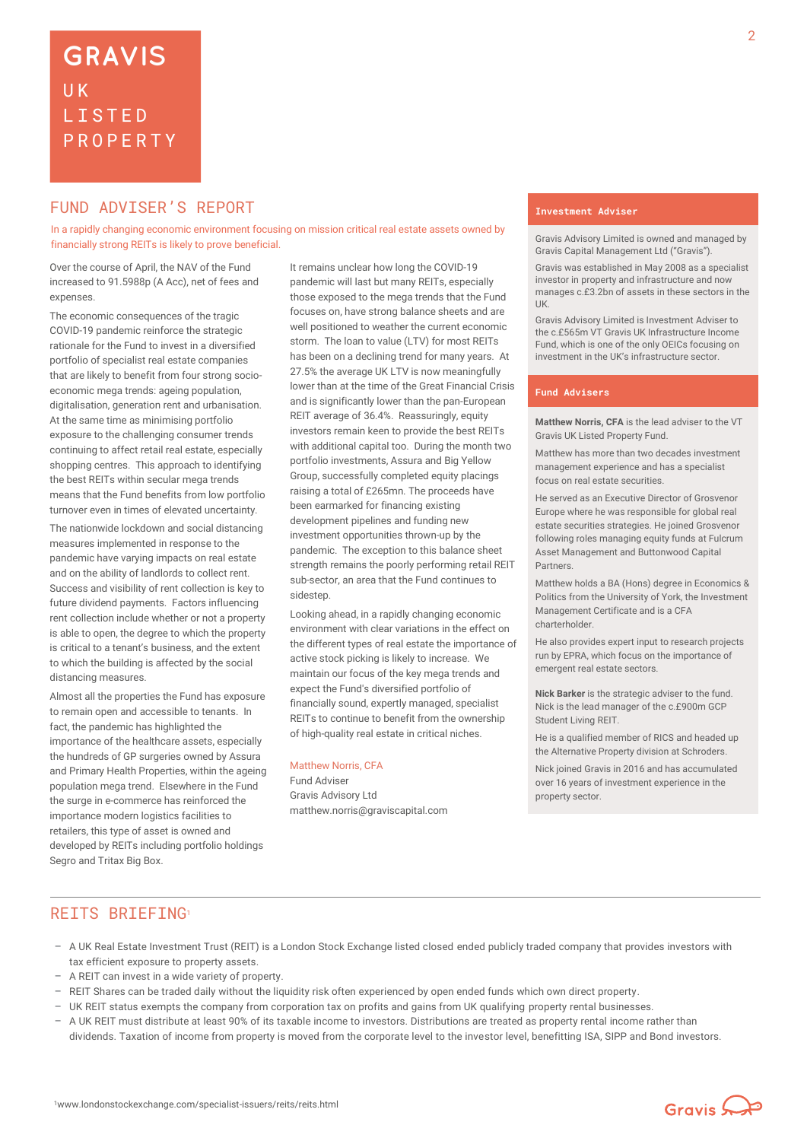# **FUND ADVISER'S REPORT THE EXAMPLE ADVISER'S**

In a rapidly changing economic environment focusing on mission critical real estate assets owned by financially strong REITs is likely to prove beneficial.

Over the course of April, the NAV of the Fund increased to 91.5988p (A Acc), net of fees and expenses.

The economic consequences of the tragic COVID-19 pandemic reinforce the strategic rationale for the Fund to invest in a diversified portfolio of specialist real estate companies that are likely to benefit from four strong socioeconomic mega trends: ageing population, digitalisation, generation rent and urbanisation. At the same time as minimising portfolio exposure to the challenging consumer trends continuing to affect retail real estate, especially shopping centres. This approach to identifying the best REITs within secular mega trends means that the Fund benefits from low portfolio turnover even in times of elevated uncertainty.

The nationwide lockdown and social distancing measures implemented in response to the pandemic have varying impacts on real estate and on the ability of landlords to collect rent. Success and visibility of rent collection is key to future dividend payments. Factors influencing rent collection include whether or not a property is able to open, the degree to which the property is critical to a tenant's business, and the extent to which the building is affected by the social distancing measures.

Almost all the properties the Fund has exposure to remain open and accessible to tenants. In fact, the pandemic has highlighted the importance of the healthcare assets, especially the hundreds of GP surgeries owned by Assura and Primary Health Properties, within the ageing population mega trend. Elsewhere in the Fund the surge in e-commerce has reinforced the importance modern logistics facilities to retailers, this type of asset is owned and developed by REITs including portfolio holdings Segro and Tritax Big Box.

It remains unclear how long the COVID-19 pandemic will last but many REITs, especially those exposed to the mega trends that the Fund focuses on, have strong balance sheets and are well positioned to weather the current economic storm. The loan to value (LTV) for most REITs has been on a declining trend for many years. At 27.5% the average UK LTV is now meaningfully lower than at the time of the Great Financial Crisis and is significantly lower than the pan-European REIT average of 36.4%. Reassuringly, equity investors remain keen to provide the best REITs with additional capital too. During the month two portfolio investments, Assura and Big Yellow Group, successfully completed equity placings raising a total of £265mn. The proceeds have been earmarked for financing existing development pipelines and funding new investment opportunities thrown-up by the pandemic. The exception to this balance sheet strength remains the poorly performing retail REIT sub-sector, an area that the Fund continues to sidestep.

Looking ahead, in a rapidly changing economic environment with clear variations in the effect on the different types of real estate the importance of active stock picking is likely to increase. We maintain our focus of the key mega trends and expect the Fund's diversified portfolio of financially sound, expertly managed, specialist REITs to continue to benefit from the ownership of high-quality real estate in critical niches.

#### Matthew Norris, CFA

Fund Adviser Gravis Advisory Ltd matthew.norris@graviscapital.com

Gravis Advisory Limited is owned and managed by Gravis Capital Management Ltd ("Gravis").

Gravis was established in May 2008 as a specialist investor in property and infrastructure and now manages c.£3.2bn of assets in these sectors in the UK.

Gravis Advisory Limited is Investment Adviser to the c.£565m VT Gravis UK Infrastructure Income Fund, which is one of the only OEICs focusing on investment in the UK's infrastructure sector.

#### **Fund Advisers**

**Matthew Norris, CFA** is the lead adviser to the VT Gravis UK Listed Property Fund.

Matthew has more than two decades investment management experience and has a specialist focus on real estate securities.

He served as an Executive Director of Grosvenor Europe where he was responsible for global real estate securities strategies. He joined Grosvenor following roles managing equity funds at Fulcrum Asset Management and Buttonwood Capital Partners.

Matthew holds a BA (Hons) degree in Economics & Politics from the University of York, the Investment Management Certificate and is a CFA charterholder.

He also provides expert input to research projects run by EPRA, which focus on the importance of emergent real estate sectors.

**Nick Barker** is the strategic adviser to the fund. Nick is the lead manager of the c.£900m GCP Student Living REIT.

He is a qualified member of RICS and headed up the Alternative Property division at Schroders.

Nick joined Gravis in 2016 and has accumulated over 16 years of investment experience in the property sector.

### REITS BRIEFING<sup>1</sup>

- A UK Real Estate Investment Trust (REIT) is a London Stock Exchange listed closed ended publicly traded company that provides investors with tax efficient exposure to property assets.
- A REIT can invest in a wide variety of property.
- REIT Shares can be traded daily without the liquidity risk often experienced by open ended funds which own direct property.
- UK REIT status exempts the company from corporation tax on profits and gains from UK qualifying property rental businesses.
- A UK REIT must distribute at least 90% of its taxable income to investors. Distributions are treated as property rental income rather than dividends. Taxation of income from property is moved from the corporate level to the investor level, benefitting ISA, SIPP and Bond investors.